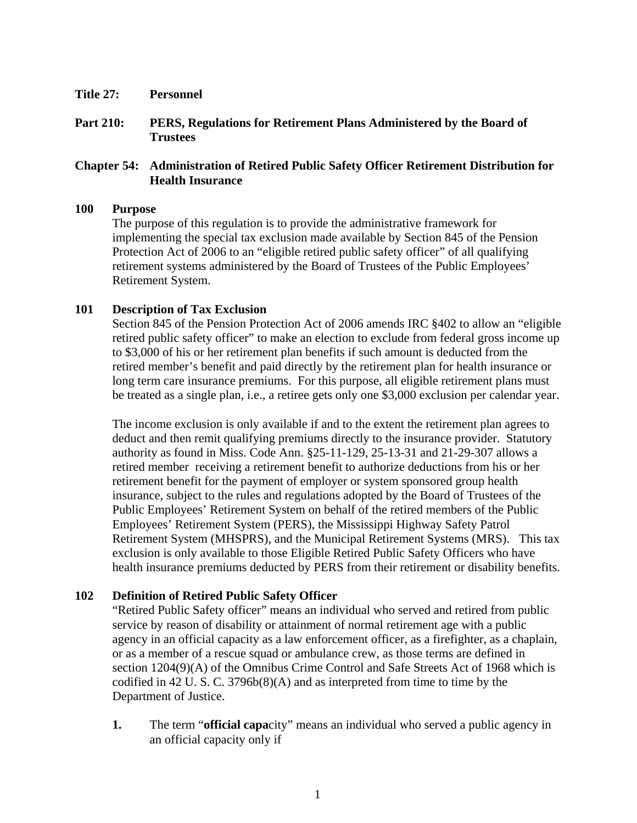- **Title 27: Personnel**
- **Part 210: PERS, Regulations for Retirement Plans Administered by the Board of Trustees**

# **Chapter 54: Administration of Retired Public Safety Officer Retirement Distribution for Health Insurance**

#### **100 Purpose**

The purpose of this regulation is to provide the administrative framework for implementing the special tax exclusion made available by Section 845 of the Pension Protection Act of 2006 to an "eligible retired public safety officer" of all qualifying retirement systems administered by the Board of Trustees of the Public Employees' Retirement System.

### **101 Description of Tax Exclusion**

Section 845 of the Pension Protection Act of 2006 amends IRC §402 to allow an "eligible retired public safety officer" to make an election to exclude from federal gross income up to \$3,000 of his or her retirement plan benefits if such amount is deducted from the retired member's benefit and paid directly by the retirement plan for health insurance or long term care insurance premiums. For this purpose, all eligible retirement plans must be treated as a single plan, i.e., a retiree gets only one \$3,000 exclusion per calendar year.

The income exclusion is only available if and to the extent the retirement plan agrees to deduct and then remit qualifying premiums directly to the insurance provider. Statutory authority as found in Miss. Code Ann. §25-11-129, 25-13-31 and 21-29-307 allows a retired member receiving a retirement benefit to authorize deductions from his or her retirement benefit for the payment of employer or system sponsored group health insurance, subject to the rules and regulations adopted by the Board of Trustees of the Public Employees' Retirement System on behalf of the retired members of the Public Employees' Retirement System (PERS), the Mississippi Highway Safety Patrol Retirement System (MHSPRS), and the Municipal Retirement Systems (MRS). This tax exclusion is only available to those Eligible Retired Public Safety Officers who have health insurance premiums deducted by PERS from their retirement or disability benefits.

### **102 Definition of Retired Public Safety Officer**

"Retired Public Safety officer" means an individual who served and retired from public service by reason of disability or attainment of normal retirement age with a public agency in an official capacity as a law enforcement officer, as a firefighter, as a chaplain, or as a member of a rescue squad or ambulance crew, as those terms are defined in section 1204(9)(A) of the Omnibus Crime Control and Safe Streets Act of 1968 which is codified in 42 U. S. C. 3796b(8)(A) and as interpreted from time to time by the Department of Justice.

**1.** The term "**official capa**city" means an individual who served a public agency in an official capacity only if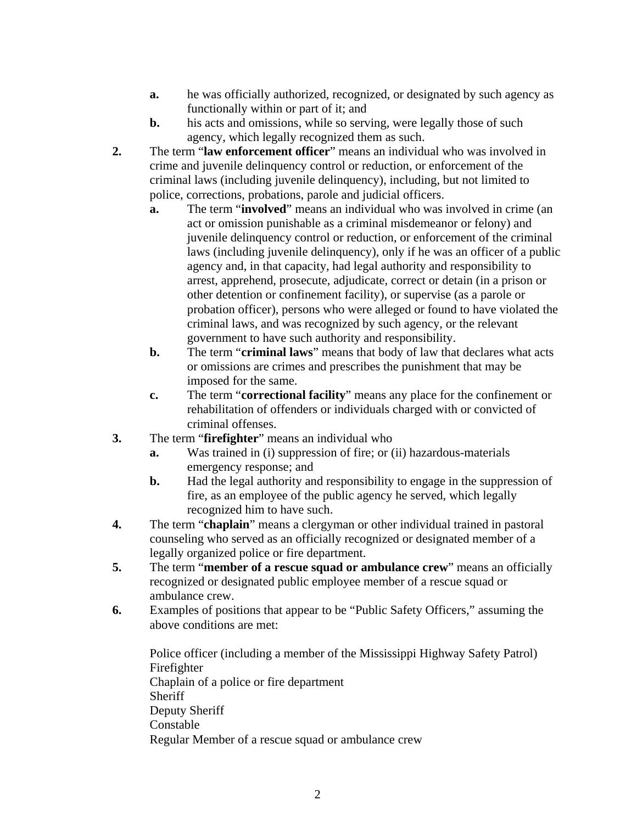- **a.** he was officially authorized, recognized, or designated by such agency as functionally within or part of it; and
- **b.** his acts and omissions, while so serving, were legally those of such agency, which legally recognized them as such.
- **2.** The term "**law enforcement officer**" means an individual who was involved in crime and juvenile delinquency control or reduction, or enforcement of the criminal laws (including juvenile delinquency), including, but not limited to police, corrections, probations, parole and judicial officers.
	- **a.** The term "**involved**" means an individual who was involved in crime (an act or omission punishable as a criminal misdemeanor or felony) and juvenile delinquency control or reduction, or enforcement of the criminal laws (including juvenile delinquency), only if he was an officer of a public agency and, in that capacity, had legal authority and responsibility to arrest, apprehend, prosecute, adjudicate, correct or detain (in a prison or other detention or confinement facility), or supervise (as a parole or probation officer), persons who were alleged or found to have violated the criminal laws, and was recognized by such agency, or the relevant government to have such authority and responsibility.
	- **b.** The term "**criminal laws**" means that body of law that declares what acts or omissions are crimes and prescribes the punishment that may be imposed for the same.
	- **c.** The term "**correctional facility**" means any place for the confinement or rehabilitation of offenders or individuals charged with or convicted of criminal offenses.
- **3.** The term "**firefighter**" means an individual who
	- **a.** Was trained in (i) suppression of fire; or (ii) hazardous-materials emergency response; and
	- **b.** Had the legal authority and responsibility to engage in the suppression of fire, as an employee of the public agency he served, which legally recognized him to have such.
- **4.** The term "**chaplain**" means a clergyman or other individual trained in pastoral counseling who served as an officially recognized or designated member of a legally organized police or fire department.
- **5.** The term "**member of a rescue squad or ambulance crew**" means an officially recognized or designated public employee member of a rescue squad or ambulance crew.
- **6.** Examples of positions that appear to be "Public Safety Officers," assuming the above conditions are met:

Police officer (including a member of the Mississippi Highway Safety Patrol) Firefighter Chaplain of a police or fire department **Sheriff** Deputy Sheriff Constable Regular Member of a rescue squad or ambulance crew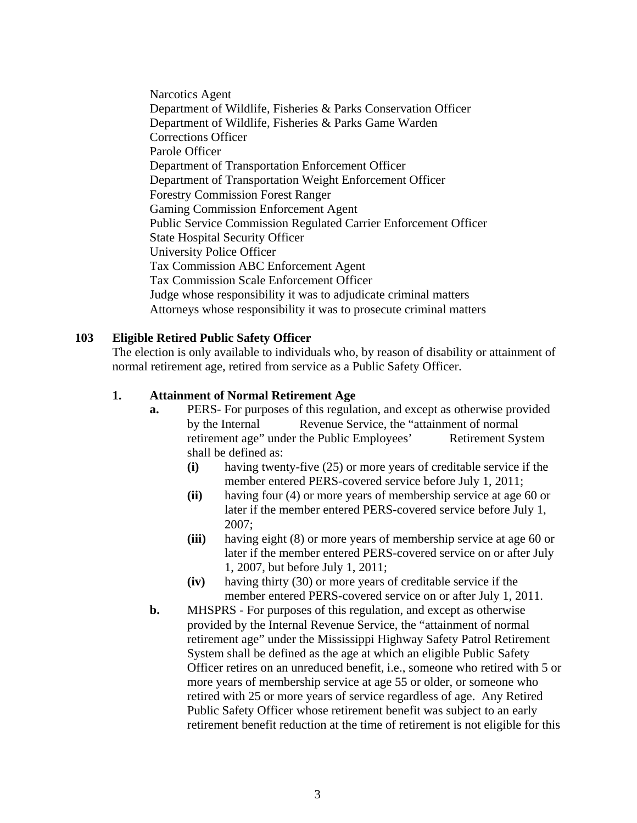Narcotics Agent Department of Wildlife, Fisheries & Parks Conservation Officer Department of Wildlife, Fisheries & Parks Game Warden Corrections Officer Parole Officer Department of Transportation Enforcement Officer Department of Transportation Weight Enforcement Officer Forestry Commission Forest Ranger Gaming Commission Enforcement Agent Public Service Commission Regulated Carrier Enforcement Officer State Hospital Security Officer University Police Officer Tax Commission ABC Enforcement Agent Tax Commission Scale Enforcement Officer Judge whose responsibility it was to adjudicate criminal matters Attorneys whose responsibility it was to prosecute criminal matters

# **103 Eligible Retired Public Safety Officer**

The election is only available to individuals who, by reason of disability or attainment of normal retirement age, retired from service as a Public Safety Officer.

### **1. Attainment of Normal Retirement Age**

- **a.** PERS- For purposes of this regulation, and except as otherwise provided by the Internal Revenue Service, the "attainment of normal retirement age" under the Public Employees' Retirement System shall be defined as:
	- **(i)** having twenty-five (25) or more years of creditable service if the member entered PERS-covered service before July 1, 2011;
	- **(ii)** having four (4) or more years of membership service at age 60 or later if the member entered PERS-covered service before July 1, 2007;
	- **(iii)** having eight (8) or more years of membership service at age 60 or later if the member entered PERS-covered service on or after July 1, 2007, but before July 1, 2011;
	- **(iv)** having thirty (30) or more years of creditable service if the member entered PERS-covered service on or after July 1, 2011.
- **b.** MHSPRS For purposes of this regulation, and except as otherwise provided by the Internal Revenue Service, the "attainment of normal retirement age" under the Mississippi Highway Safety Patrol Retirement System shall be defined as the age at which an eligible Public Safety Officer retires on an unreduced benefit, i.e., someone who retired with 5 or more years of membership service at age 55 or older, or someone who retired with 25 or more years of service regardless of age. Any Retired Public Safety Officer whose retirement benefit was subject to an early retirement benefit reduction at the time of retirement is not eligible for this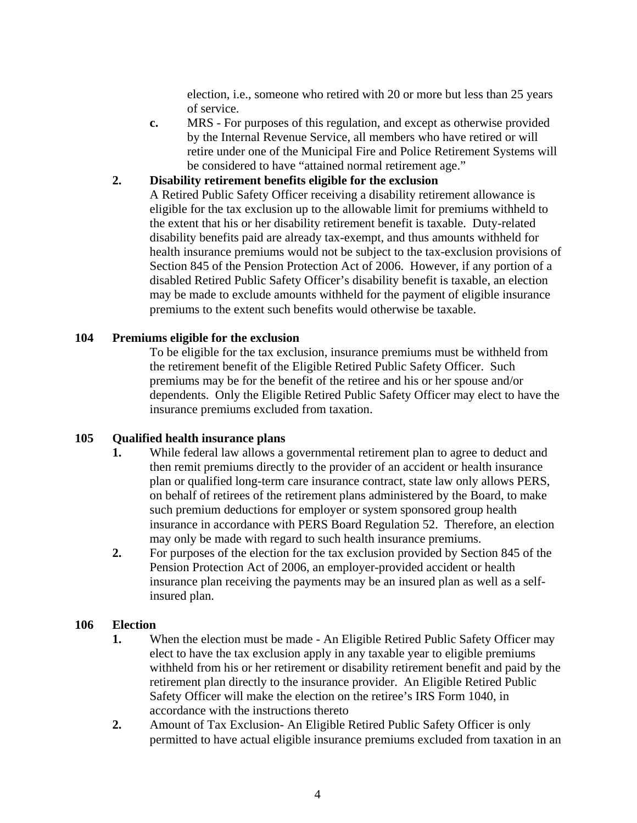election, i.e., someone who retired with 20 or more but less than 25 years of service.

**c.** MRS - For purposes of this regulation, and except as otherwise provided by the Internal Revenue Service, all members who have retired or will retire under one of the Municipal Fire and Police Retirement Systems will be considered to have "attained normal retirement age."

# **2. Disability retirement benefits eligible for the exclusion**

A Retired Public Safety Officer receiving a disability retirement allowance is eligible for the tax exclusion up to the allowable limit for premiums withheld to the extent that his or her disability retirement benefit is taxable. Duty-related disability benefits paid are already tax-exempt, and thus amounts withheld for health insurance premiums would not be subject to the tax-exclusion provisions of Section 845 of the Pension Protection Act of 2006. However, if any portion of a disabled Retired Public Safety Officer's disability benefit is taxable, an election may be made to exclude amounts withheld for the payment of eligible insurance premiums to the extent such benefits would otherwise be taxable.

# **104 Premiums eligible for the exclusion**

To be eligible for the tax exclusion, insurance premiums must be withheld from the retirement benefit of the Eligible Retired Public Safety Officer. Such premiums may be for the benefit of the retiree and his or her spouse and/or dependents. Only the Eligible Retired Public Safety Officer may elect to have the insurance premiums excluded from taxation.

# **105 Qualified health insurance plans**

- **1.** While federal law allows a governmental retirement plan to agree to deduct and then remit premiums directly to the provider of an accident or health insurance plan or qualified long-term care insurance contract, state law only allows PERS, on behalf of retirees of the retirement plans administered by the Board, to make such premium deductions for employer or system sponsored group health insurance in accordance with PERS Board Regulation 52. Therefore, an election may only be made with regard to such health insurance premiums.
- **2.** For purposes of the election for the tax exclusion provided by Section 845 of the Pension Protection Act of 2006, an employer-provided accident or health insurance plan receiving the payments may be an insured plan as well as a selfinsured plan.

### **106 Election**

- **1.** When the election must be made An Eligible Retired Public Safety Officer may elect to have the tax exclusion apply in any taxable year to eligible premiums withheld from his or her retirement or disability retirement benefit and paid by the retirement plan directly to the insurance provider. An Eligible Retired Public Safety Officer will make the election on the retiree's IRS Form 1040, in accordance with the instructions thereto
- **2.** Amount of Tax Exclusion- An Eligible Retired Public Safety Officer is only permitted to have actual eligible insurance premiums excluded from taxation in an